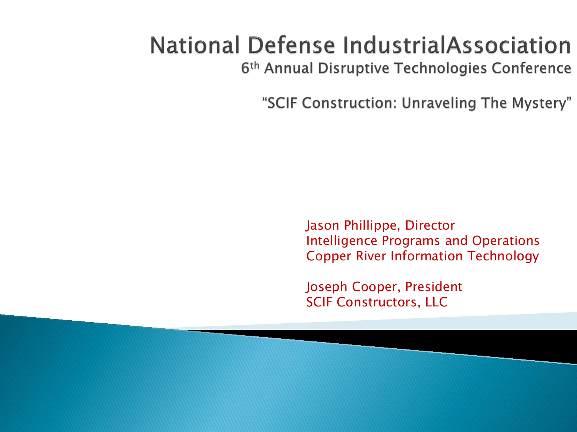## **National Defense IndustrialAssociation**

6<sup>th</sup> Annual Disruptive Technologies Conference

"SCIF Construction: Unraveling The Mystery"

Jason Phillippe, Director Intelligence Programs and Operations Copper River Information Technology

Joseph Cooper, President SCIF Constructors, LLC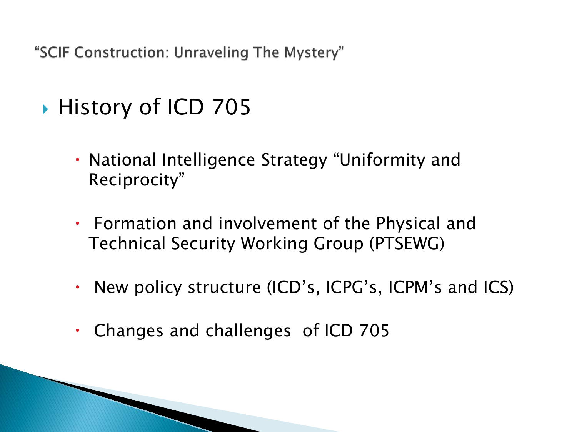- ▶ History of ICD 705
	- National Intelligence Strategy "Uniformity and Reciprocity"
	- Formation and involvement of the Physical and Technical Security Working Group (PTSEWG)
	- New policy structure (ICD's, ICPG's, ICPM's and ICS)
	- Changes and challenges of ICD 705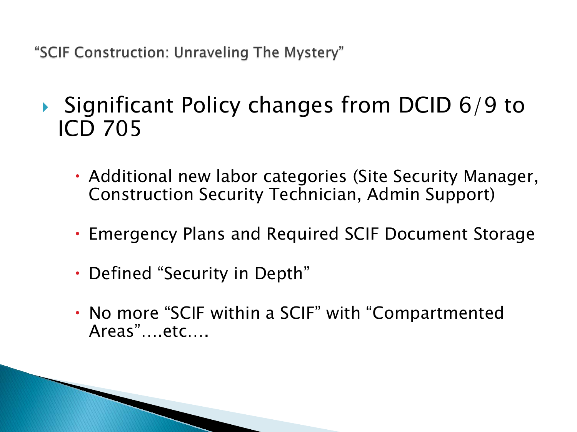- $\triangleright$  Significant Policy changes from DCID 6/9 to ICD 705
	- Additional new labor categories (Site Security Manager, Construction Security Technician, Admin Support)
	- Emergency Plans and Required SCIF Document Storage
	- Defined "Security in Depth"
	- No more "SCIF within a SCIF" with "Compartmented Areas"….etc….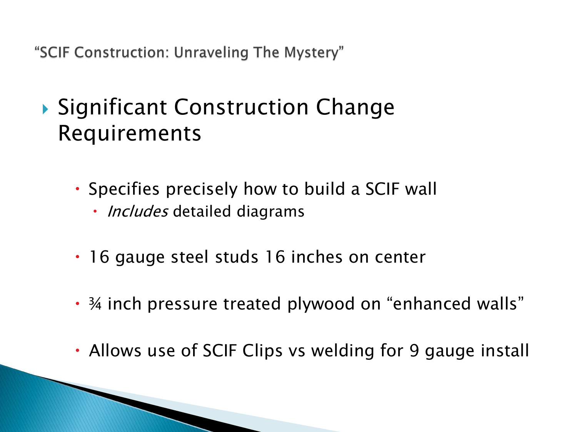- ▶ Significant Construction Change Requirements
	- Specifies precisely how to build a SCIF wall
		- *Includes* detailed diagrams
	- 16 gauge steel studs 16 inches on center
	- ¾ inch pressure treated plywood on "enhanced walls"
	- Allows use of SCIF Clips vs welding for 9 gauge install